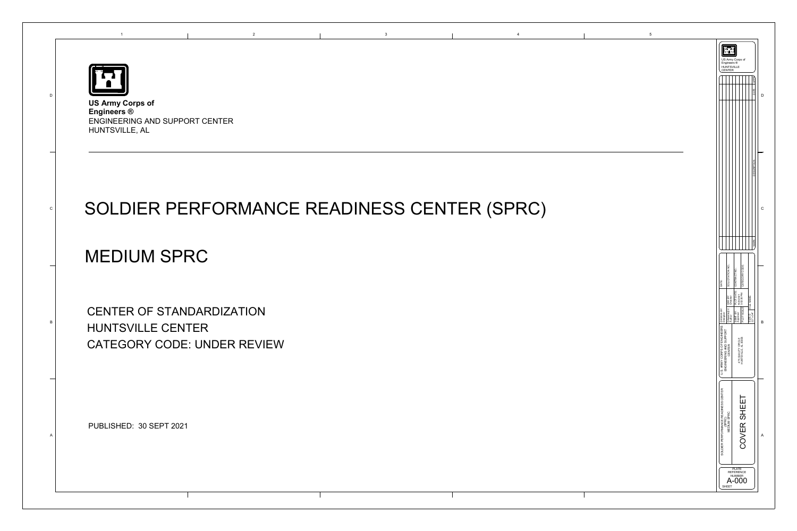



## SOLDIER PERFORMANCE READINESS CENTER (SPRC)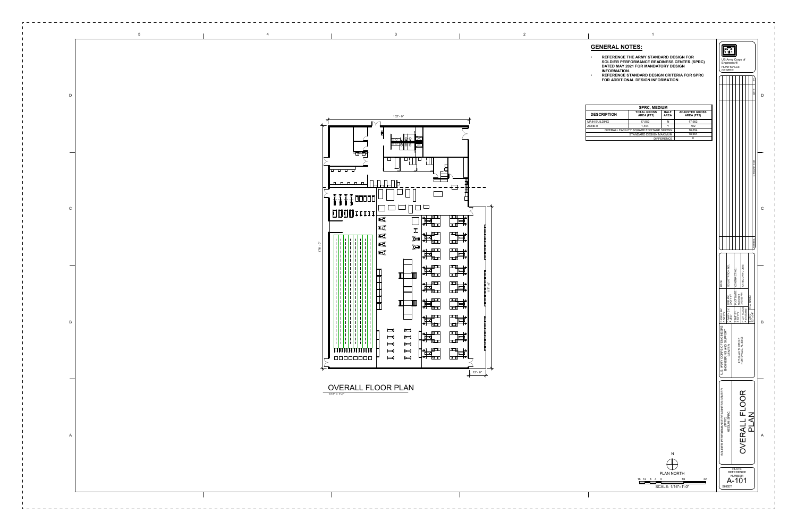| <b>SPRC, MEDIUM</b>                   |                                  |                            |                                     |
|---------------------------------------|----------------------------------|----------------------------|-------------------------------------|
| <b>DESCRIPTION</b>                    | <b>TOTAL GROSS</b><br>AREA (FT2) | <b>HALF</b><br><b>AREA</b> | <b>ADJUSTED GROSS</b><br>AREA (FT2) |
| <b>MAIN BUILDING</b>                  | 17,952                           | N                          | 17,952                              |
| ZONE <sub>0</sub>                     | 1.404                            |                            | 702                                 |
| OVERALL FACILITY SQUARE FOOTAGE SHOWN |                                  |                            | 18.654                              |
| STANDARD DESIGN MAXIMUM               |                                  |                            | 18.654                              |
| <b>DIFFERENCE</b>                     |                                  |                            |                                     |

## **GENERAL NOTES:**



- **REFERENCE THE ARMY STANDARD DESIGN FOR SOLDIER PERFORMANCE READINESS CENTER (SPRC) DATED MAY 2021 FOR MANDATORY DESIGN INFORMATION.**
- **REFERENCE STANDARD DESIGN CRITERIA FOR SPRC FOR ADDITIONAL DESIGN INFORMATION.**

1/16" = 1'-0"



2

 $\bigoplus$ PLAN NORTH 16 12 8 4 16 32 0



N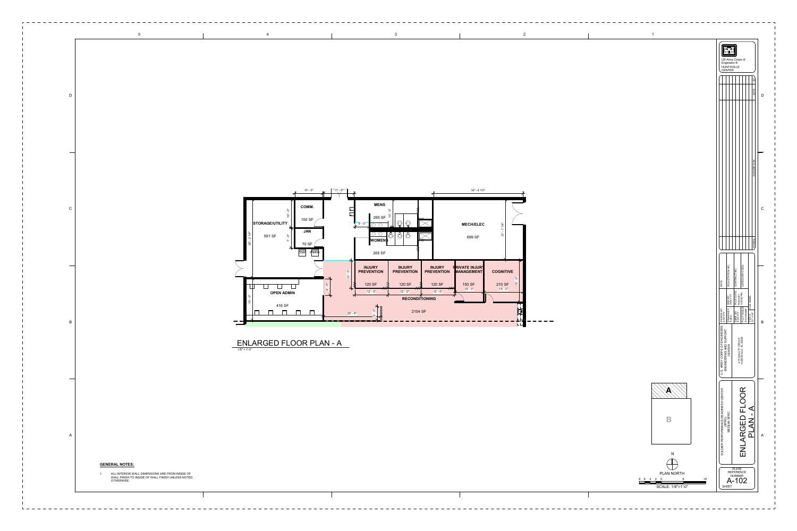

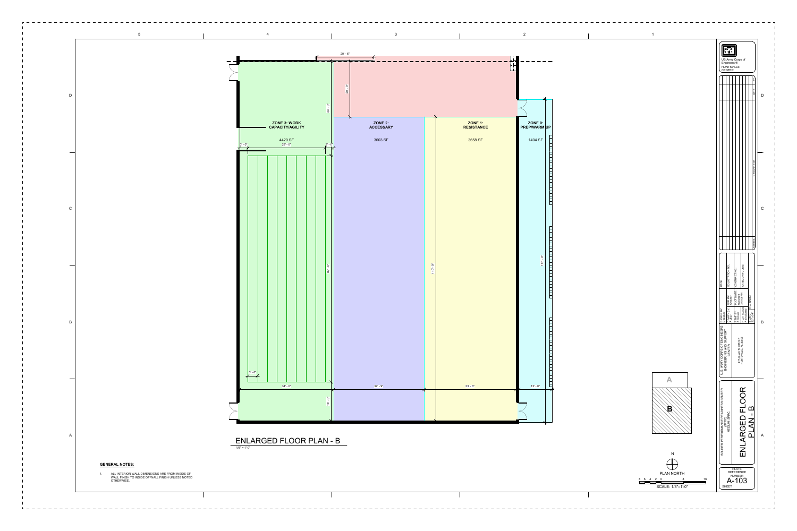

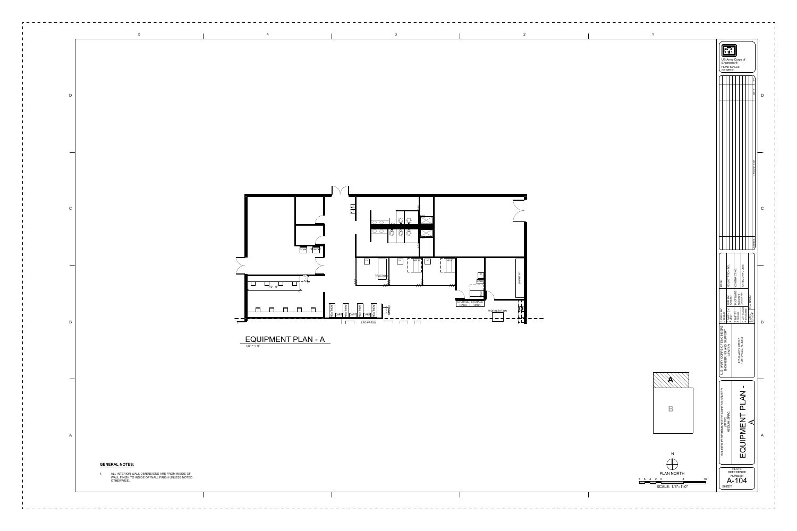

 $- - - - - - - - -$